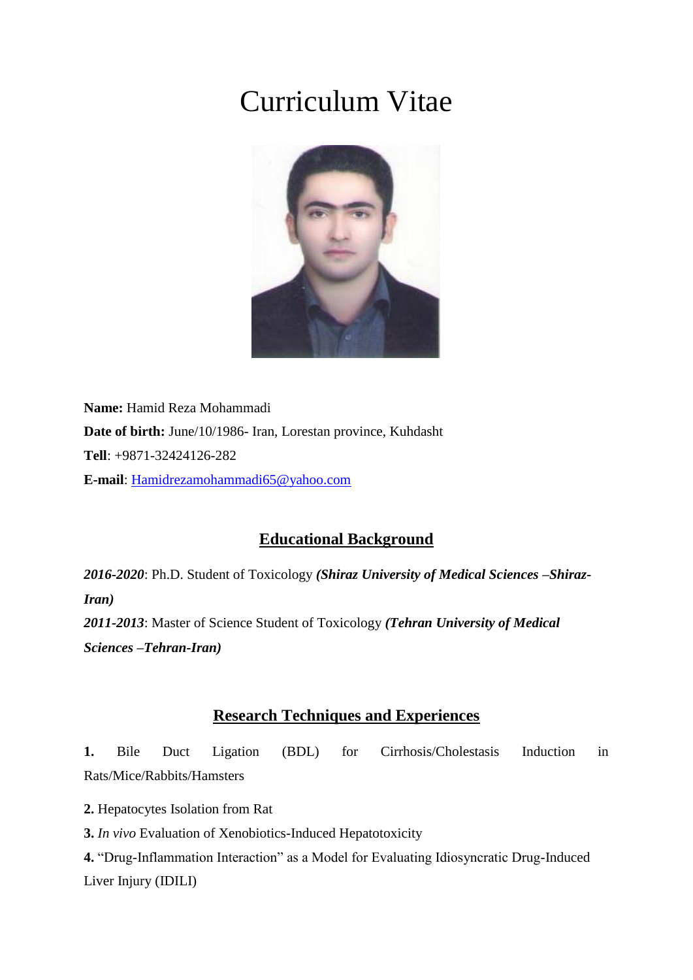# Curriculum Vitae



**Name:** Hamid Reza Mohammadi **Date of birth:** June/10/1986- Iran, Lorestan province, Kuhdasht **Tell**: +9871-32424126-282 **E-mail**: [Hamidrezamohammadi65@yahoo.com](mailto:Hamidrezamohammadi65@yahoo.com)

# **Educational Background**

*2016-2020*: Ph.D. Student of Toxicology *(Shiraz University of Medical Sciences –Shiraz-Iran) 2011-2013*: Master of Science Student of Toxicology *(Tehran University of Medical Sciences –Tehran-Iran)*

# **Research Techniques and Experiences**

**1.** Bile Duct Ligation (BDL) for Cirrhosis/Cholestasis Induction in Rats/Mice/Rabbits/Hamsters

**2.** Hepatocytes Isolation from Rat

**3.** *In vivo* Evaluation of Xenobiotics-Induced Hepatotoxicity

**4.** "Drug-Inflammation Interaction" as a Model for Evaluating Idiosyncratic Drug-Induced Liver Injury (IDILI)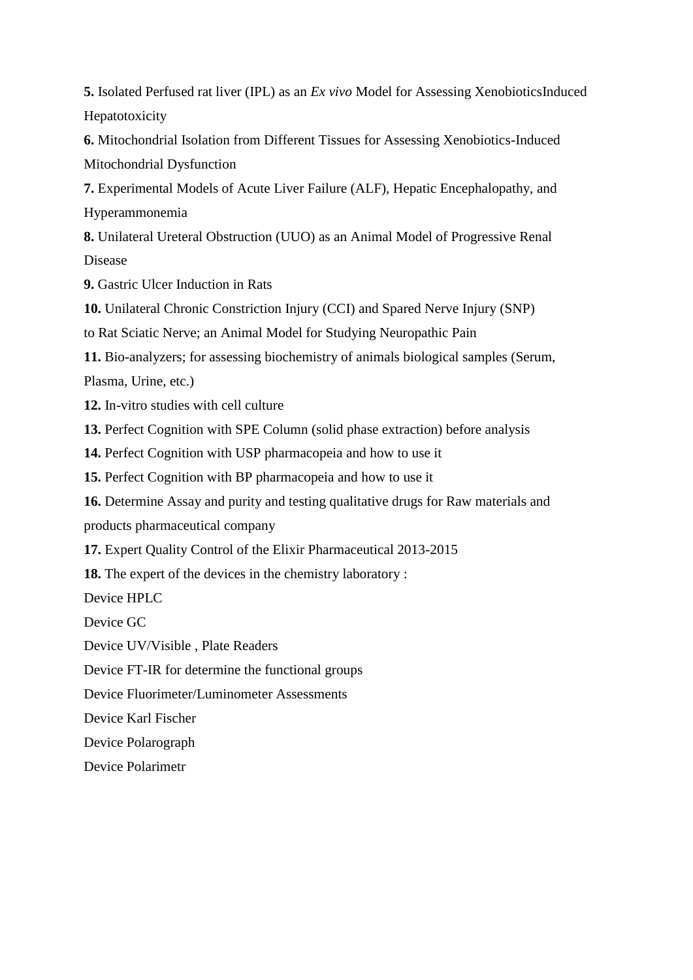**5.** Isolated Perfused rat liver (IPL) as an *Ex vivo* Model for Assessing XenobioticsInduced Hepatotoxicity

**6.** Mitochondrial Isolation from Different Tissues for Assessing Xenobiotics-Induced Mitochondrial Dysfunction

**7.** Experimental Models of Acute Liver Failure (ALF), Hepatic Encephalopathy, and Hyperammonemia

**8.** Unilateral Ureteral Obstruction (UUO) as an Animal Model of Progressive Renal Disease

**9.** Gastric Ulcer Induction in Rats

**10.** Unilateral Chronic Constriction Injury (CCI) and Spared Nerve Injury (SNP)

to Rat Sciatic Nerve; an Animal Model for Studying Neuropathic Pain

**11.** Bio-analyzers; for assessing biochemistry of animals biological samples (Serum, Plasma, Urine, etc.)

**12.** In-vitro studies with cell culture

**13.** Perfect Cognition with SPE Column (solid phase extraction) before analysis

**14.** Perfect Cognition with USP pharmacopeia and how to use it

**15.** Perfect Cognition with BP pharmacopeia and how to use it

**16.** Determine Assay and purity and testing qualitative drugs for Raw materials and products pharmaceutical company

**17.** Expert Quality Control of the Elixir Pharmaceutical 2013-2015

**18.** The expert of the devices in the chemistry laboratory :

Device HPLC

Device GC

Device UV/Visible , Plate Readers

Device FT-IR for determine the functional groups

Device Fluorimeter/Luminometer Assessments

Device Karl Fischer

Device Polarograph

Device Polarimetr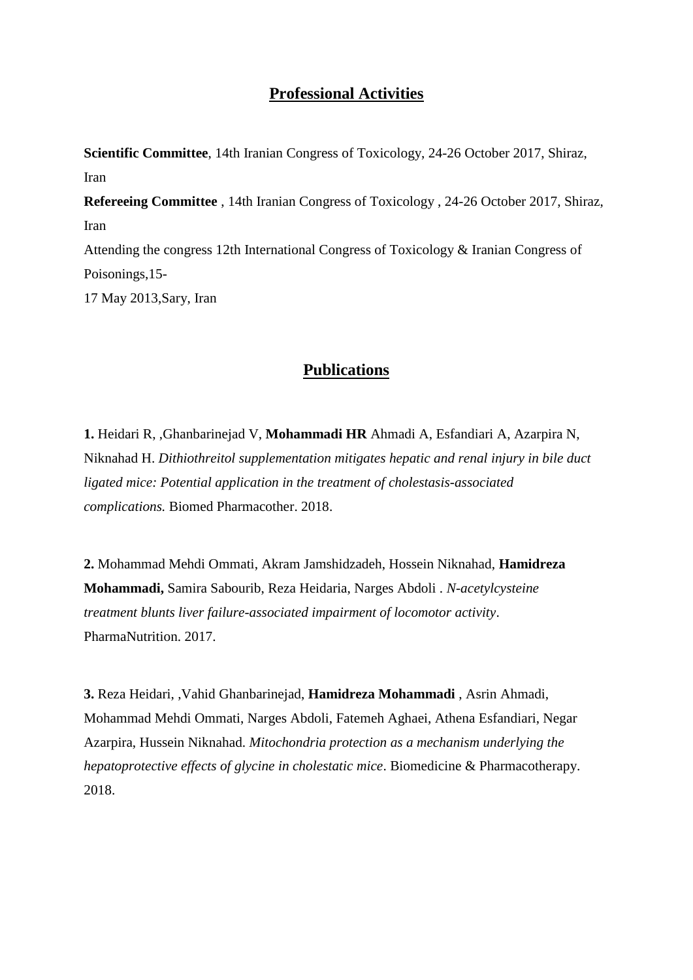### **Professional Activities**

**Scientific Committee**, 14th Iranian Congress of Toxicology, 24-26 October 2017, Shiraz, Iran **Refereeing Committee** , 14th Iranian Congress of Toxicology , 24-26 October 2017, Shiraz, Iran Attending the congress 12th International Congress of Toxicology & Iranian Congress of Poisonings,15- 17 May 2013,Sary, Iran

# **Publications**

**1.** Heidari R, ,Ghanbarinejad V, **Mohammadi HR** Ahmadi A, Esfandiari A, Azarpira N, Niknahad H. *Dithiothreitol supplementation mitigates hepatic and renal injury in bile duct ligated mice: Potential application in the treatment of cholestasis-associated complications.* Biomed Pharmacother. 2018.

**2.** Mohammad Mehdi Ommati, Akram Jamshidzadeh, Hossein Niknahad, **Hamidreza Mohammadi,** Samira Sabourib, Reza Heidaria, Narges Abdoli . *N-acetylcysteine treatment blunts liver failure-associated impairment of locomotor activity*. PharmaNutrition. 2017.

**3.** Reza Heidari, ,Vahid Ghanbarinejad, **Hamidreza Mohammadi** , Asrin Ahmadi, Mohammad Mehdi Ommati, Narges Abdoli, Fatemeh Aghaei, Athena Esfandiari, Negar Azarpira, Hussein Niknahad. *Mitochondria protection as a mechanism underlying the hepatoprotective effects of glycine in cholestatic mice*. Biomedicine & Pharmacotherapy. 2018.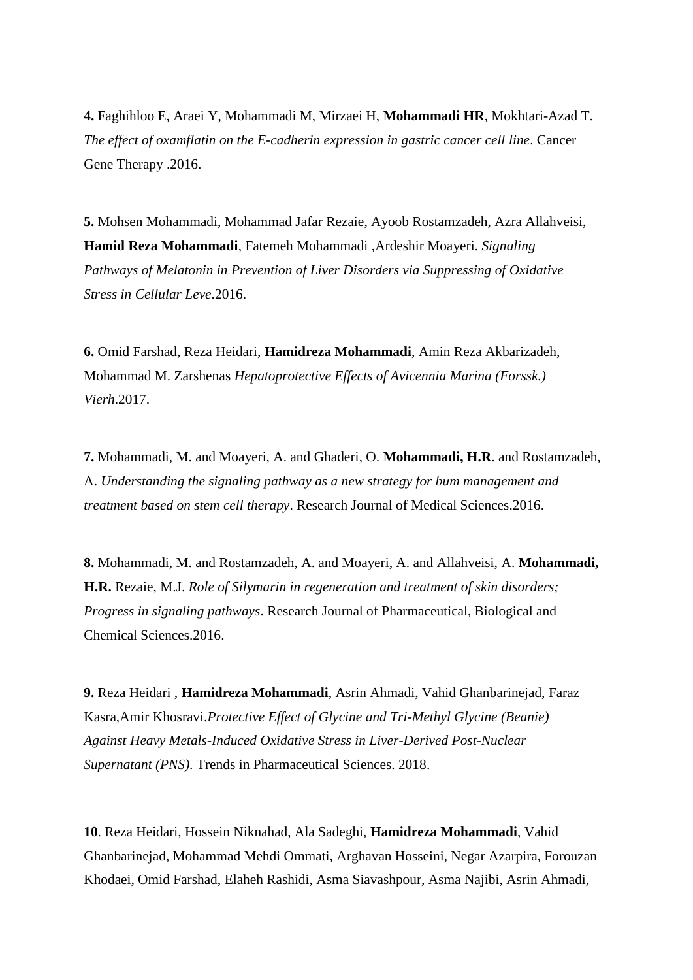**4.** Faghihloo E, Araei Y, Mohammadi M, Mirzaei H, **Mohammadi HR**, Mokhtari-Azad T. *The effect of oxamflatin on the E-cadherin expression in gastric cancer cell line*. Cancer Gene Therapy .2016.

**5.** Mohsen Mohammadi, Mohammad Jafar Rezaie, Ayoob Rostamzadeh, Azra Allahveisi, **Hamid Reza Mohammadi**, Fatemeh Mohammadi ,Ardeshir Moayeri. *Signaling Pathways of Melatonin in Prevention of Liver Disorders via Suppressing of Oxidative Stress in Cellular Leve*.2016.

**6.** Omid Farshad, Reza Heidari, **Hamidreza Mohammadi**, Amin Reza Akbarizadeh, Mohammad M. Zarshenas *Hepatoprotective Effects of Avicennia Marina (Forssk.) Vierh*.2017.

**7.** Mohammadi, M. and Moayeri, A. and Ghaderi, O. **Mohammadi, H.R**. and Rostamzadeh, A. *Understanding the signaling pathway as a new strategy for bum management and treatment based on stem cell therapy*. Research Journal of Medical Sciences.2016.

**8.** Mohammadi, M. and Rostamzadeh, A. and Moayeri, A. and Allahveisi, A. **Mohammadi, H.R.** Rezaie, M.J. *Role of Silymarin in regeneration and treatment of skin disorders; Progress in signaling pathways*. Research Journal of Pharmaceutical, Biological and Chemical Sciences.2016.

**9.** Reza Heidari , **Hamidreza Mohammadi**, Asrin Ahmadi, Vahid Ghanbarinejad, Faraz Kasra,Amir Khosravi.*Protective Effect of Glycine and Tri-Methyl Glycine (Beanie) Against Heavy Metals-Induced Oxidative Stress in Liver-Derived Post-Nuclear Supernatant (PNS)*. Trends in Pharmaceutical Sciences. 2018.

**10**. Reza Heidari, Hossein Niknahad, Ala Sadeghi, **Hamidreza Mohammadi**, Vahid Ghanbarinejad, Mohammad Mehdi Ommati, Arghavan Hosseini, Negar Azarpira, Forouzan Khodaei, Omid Farshad, Elaheh Rashidi, Asma Siavashpour, Asma Najibi, Asrin Ahmadi,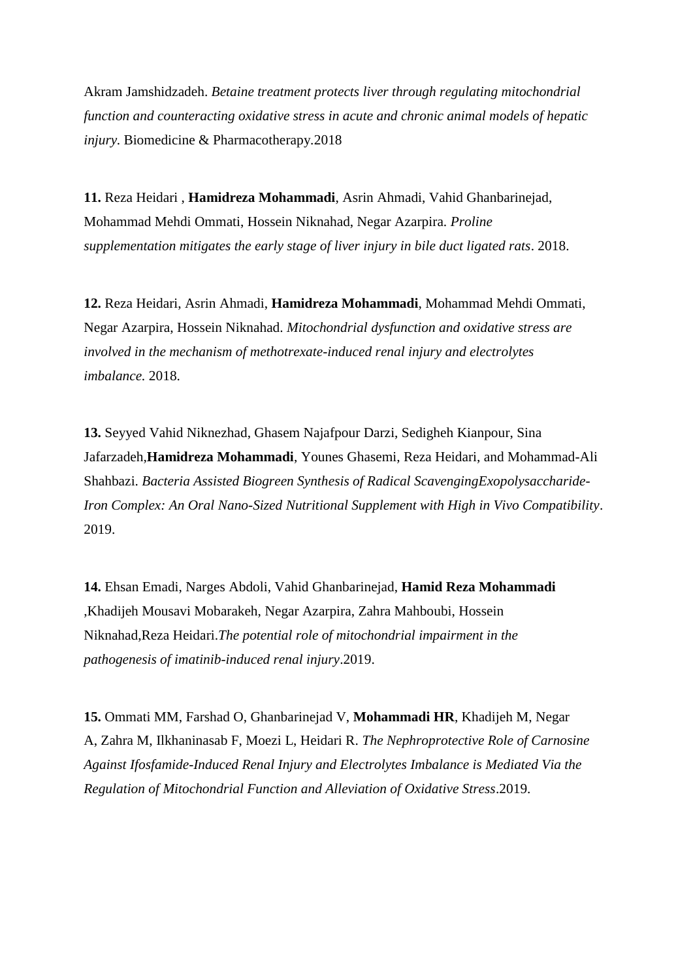Akram Jamshidzadeh. *[Betaine treatment protects liver through regulating mitochondrial](https://www.sciencedirect.com/science/article/pii/S0753332218312526)  [function and counteracting oxidative stress in acute and chronic animal models of hepatic](https://www.sciencedirect.com/science/article/pii/S0753332218312526)  [injury.](https://www.sciencedirect.com/science/article/pii/S0753332218312526)* Biomedicine & Pharmacotherapy*.*2018

**11.** Reza Heidari , **Hamidreza Mohammadi**, Asrin Ahmadi, Vahid Ghanbarinejad, Mohammad Mehdi Ommati, Hossein Niknahad, Negar Azarpira. *Proline supplementation mitigates the early stage of liver injury in bile duct ligated rats*. 2018.

**12.** Reza Heidari, Asrin Ahmadi, **Hamidreza Mohammadi**, Mohammad Mehdi Ommati, Negar Azarpira, Hossein Niknahad. *Mitochondrial dysfunction and oxidative stress are involved in the mechanism of methotrexate-induced renal injury and electrolytes imbalance.* 2018.

**13.** Seyyed Vahid Niknezhad, Ghasem Najafpour Darzi, Sedigheh Kianpour, Sina Jafarzadeh,**Hamidreza Mohammadi**, Younes Ghasemi, Reza Heidari, and Mohammad-Ali Shahbazi. *Bacteria Assisted Biogreen Synthesis of Radical ScavengingExopolysaccharide-Iron Complex: An Oral Nano-Sized Nutritional Supplement with High in Vivo Compatibility*. 2019.

**14.** Ehsan Emadi, Narges Abdoli, Vahid Ghanbarinejad, **Hamid Reza Mohammadi** ,Khadijeh Mousavi Mobarakeh, Negar Azarpira, Zahra Mahboubi, Hossein Niknahad,Reza Heidari.*The potential role of mitochondrial impairment in the pathogenesis of imatinib-induced renal injury*.2019.

**15.** Ommati MM, Farshad O, Ghanbarinejad V, **Mohammadi HR**, Khadijeh M, Negar A, Zahra M, Ilkhaninasab F, Moezi L, Heidari R. *The Nephroprotective Role of Carnosine Against Ifosfamide-Induced Renal Injury and Electrolytes Imbalance is Mediated Via the Regulation of Mitochondrial Function and Alleviation of Oxidative Stress*.2019.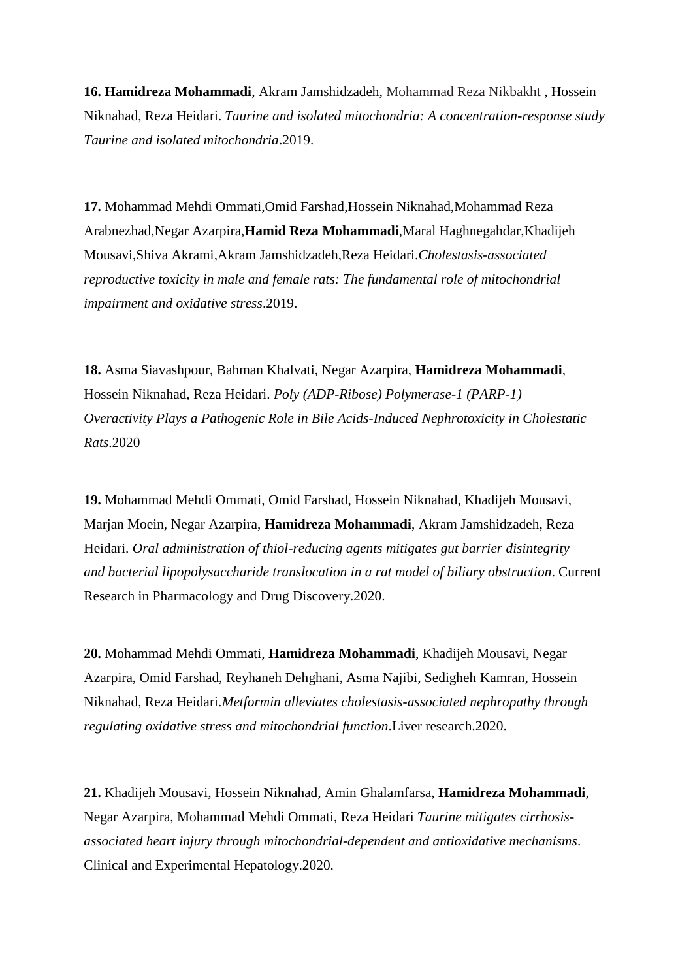**16. Hamidreza Mohammadi**, Akram Jamshidzadeh, Mohammad Reza Nikbakht , Hossein Niknahad, Reza Heidari. *[Taurine and isolated mitochondria: A concentration-response study](http://tips.sums.ac.ir/article_46192.html) Taurine and isolated mitochondria*.2019.

**17.** Mohammad Mehdi Ommati,Omid Farshad,Hossein Niknahad,Mohammad Reza Arabnezhad,Negar Azarpira,**Hamid Reza Mohammadi**,Maral Haghnegahdar,Khadijeh Mousavi,Shiva Akrami,Akram Jamshidzadeh,Reza Heidari.*Cholestasis-associated reproductive toxicity in male and female rats: The fundamental role of mitochondrial impairment and oxidative stress*.2019.

**18.** Asma Siavashpour, Bahman Khalvati, Negar Azarpira, **Hamidreza Mohammadi**, Hossein Niknahad, Reza Heidari. *Poly (ADP-Ribose) Polymerase-1 (PARP-1) Overactivity Plays a Pathogenic Role in Bile Acids-Induced Nephrotoxicity in Cholestatic Rats*.2020

**19.** Mohammad Mehdi Ommati, Omid Farshad, Hossein Niknahad, Khadijeh Mousavi, Marjan Moein, Negar Azarpira, **Hamidreza Mohammadi**, Akram Jamshidzadeh, Reza Heidari. *Oral administration of thiol-reducing agents mitigates gut barrier disintegrity and bacterial lipopolysaccharide translocation in a rat model of biliary obstruction*. Current Research in Pharmacology and Drug Discovery.2020.

**20.** Mohammad Mehdi Ommati, **Hamidreza Mohammadi**, Khadijeh Mousavi, Negar Azarpira, Omid Farshad, Reyhaneh Dehghani, Asma Najibi, Sedigheh Kamran, Hossein Niknahad, Reza Heidari.*Metformin alleviates cholestasis-associated nephropathy through regulating oxidative stress and mitochondrial function*.Liver research.2020.

**21.** Khadijeh Mousavi, Hossein Niknahad, Amin Ghalamfarsa, **Hamidreza Mohammadi**, Negar Azarpira, Mohammad Mehdi Ommati, Reza Heidari *[Taurine mitigates cirrhosis](https://www.ncbi.nlm.nih.gov/pmc/articles/PMC7592093/)[associated heart injury through mitochondrial-dependent and antioxidative mechanisms](https://www.ncbi.nlm.nih.gov/pmc/articles/PMC7592093/)*. Clinical and Experimental Hepatology.2020.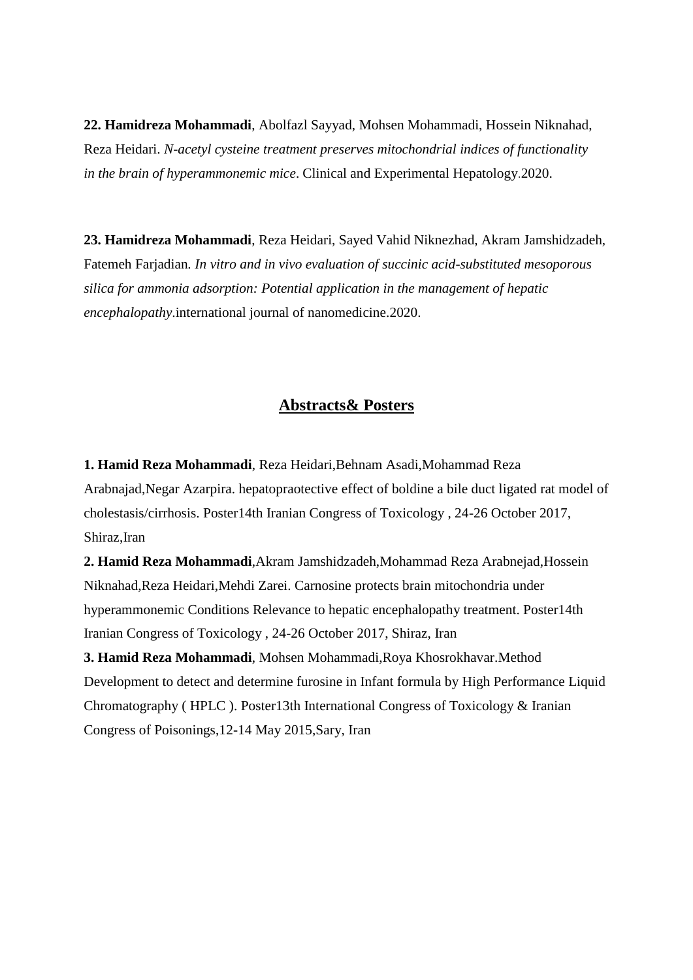**22. Hamidreza Mohammadi**, Abolfazl Sayyad, Mohsen Mohammadi, Hossein Niknahad, Reza Heidari. *N-acetyl cysteine treatment preserves mitochondrial indices of functionality in the brain of hyperammonemic mice*. Clinical and Experimental Hepatology.2020.

**23. Hamidreza Mohammadi**, Reza Heidari, Sayed Vahid Niknezhad, Akram Jamshidzadeh, Fatemeh Farjadian*. In vitro and in vivo evaluation of succinic acid-substituted mesoporous silica for ammonia adsorption: Potential application in the management of hepatic encephalopathy*.international journal of nanomedicine.2020.

#### **Abstracts& Posters**

**1. Hamid Reza Mohammadi**, Reza Heidari,Behnam Asadi,Mohammad Reza Arabnajad,Negar Azarpira. hepatopraotective effect of boldine a bile duct ligated rat model of cholestasis/cirrhosis. Poster14th Iranian Congress of Toxicology , 24-26 October 2017, Shiraz,Iran

**2. Hamid Reza Mohammadi**,Akram Jamshidzadeh,Mohammad Reza Arabnejad,Hossein Niknahad,Reza Heidari,Mehdi Zarei. Carnosine protects brain mitochondria under hyperammonemic Conditions Relevance to hepatic encephalopathy treatment. Poster14th Iranian Congress of Toxicology , 24-26 October 2017, Shiraz, Iran

**3. Hamid Reza Mohammadi**, Mohsen Mohammadi,Roya Khosrokhavar.Method Development to detect and determine furosine in Infant formula by High Performance Liquid Chromatography ( HPLC ). Poster13th International Congress of Toxicology & Iranian Congress of Poisonings,12-14 May 2015,Sary, Iran